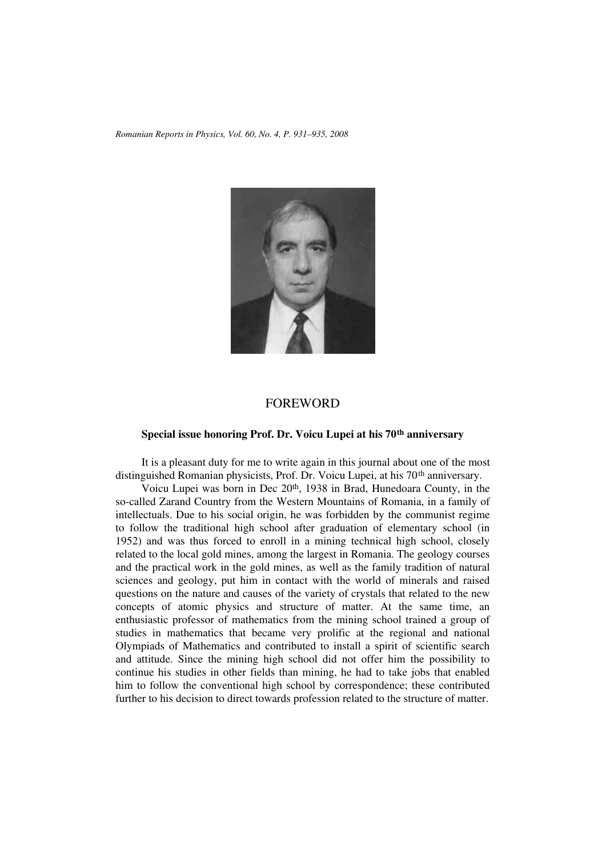*Romanian Reports in Physics, Vol. 60, No. 4, P. 931–935, 2008*



## FOREWORD

## **Special issue honoring Prof. Dr. Voicu Lupei at his 70th anniversary**

It is a pleasant duty for me to write again in this journal about one of the most distinguished Romanian physicists, Prof. Dr. Voicu Lupei, at his 70<sup>th</sup> anniversary.

Voicu Lupei was born in Dec 20<sup>th</sup>, 1938 in Brad, Hunedoara County, in the so-called Zarand Country from the Western Mountains of Romania, in a family of intellectuals. Due to his social origin, he was forbidden by the communist regime to follow the traditional high school after graduation of elementary school (in 1952) and was thus forced to enroll in a mining technical high school, closely related to the local gold mines, among the largest in Romania. The geology courses and the practical work in the gold mines, as well as the family tradition of natural sciences and geology, put him in contact with the world of minerals and raised questions on the nature and causes of the variety of crystals that related to the new concepts of atomic physics and structure of matter. At the same time, an enthusiastic professor of mathematics from the mining school trained a group of studies in mathematics that became very prolific at the regional and national Olympiads of Mathematics and contributed to install a spirit of scientific search and attitude. Since the mining high school did not offer him the possibility to continue his studies in other fields than mining, he had to take jobs that enabled him to follow the conventional high school by correspondence; these contributed further to his decision to direct towards profession related to the structure of matter.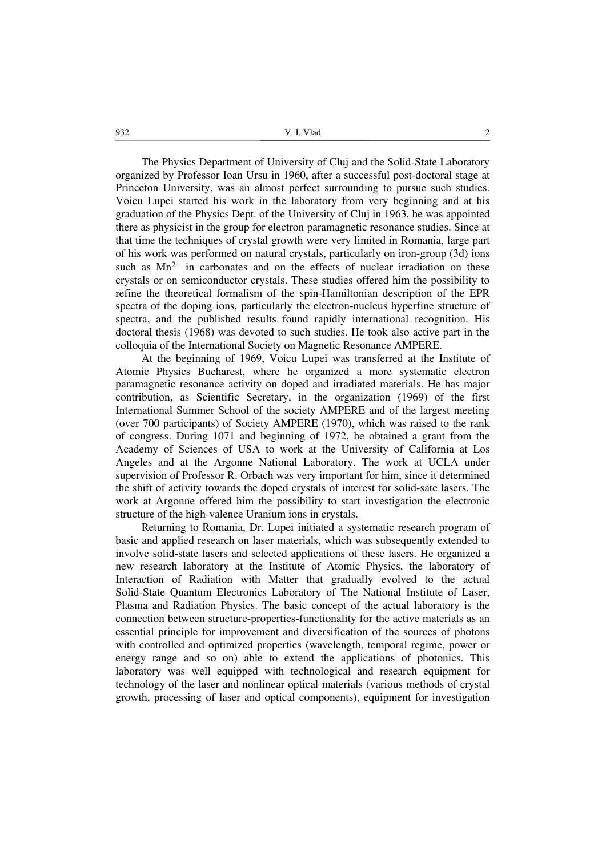The Physics Department of University of Cluj and the Solid-State Laboratory organized by Professor Ioan Ursu in 1960, after a successful post-doctoral stage at Princeton University, was an almost perfect surrounding to pursue such studies. Voicu Lupei started his work in the laboratory from very beginning and at his graduation of the Physics Dept. of the University of Cluj in 1963, he was appointed there as physicist in the group for electron paramagnetic resonance studies. Since at that time the techniques of crystal growth were very limited in Romania, large part of his work was performed on natural crystals, particularly on iron-group (3d) ions such as  $Mn^{2+}$  in carbonates and on the effects of nuclear irradiation on these crystals or on semiconductor crystals. These studies offered him the possibility to refine the theoretical formalism of the spin-Hamiltonian description of the EPR spectra of the doping ions, particularly the electron-nucleus hyperfine structure of spectra, and the published results found rapidly international recognition. His doctoral thesis (1968) was devoted to such studies. He took also active part in the colloquia of the International Society on Magnetic Resonance AMPERE.

At the beginning of 1969, Voicu Lupei was transferred at the Institute of Atomic Physics Bucharest, where he organized a more systematic electron paramagnetic resonance activity on doped and irradiated materials. He has major contribution, as Scientific Secretary, in the organization (1969) of the first International Summer School of the society AMPERE and of the largest meeting (over 700 participants) of Society AMPERE (1970), which was raised to the rank of congress. During 1071 and beginning of 1972, he obtained a grant from the Academy of Sciences of USA to work at the University of California at Los Angeles and at the Argonne National Laboratory. The work at UCLA under supervision of Professor R. Orbach was very important for him, since it determined the shift of activity towards the doped crystals of interest for solid-sate lasers. The work at Argonne offered him the possibility to start investigation the electronic structure of the high-valence Uranium ions in crystals.

Returning to Romania, Dr. Lupei initiated a systematic research program of basic and applied research on laser materials, which was subsequently extended to involve solid-state lasers and selected applications of these lasers. He organized a new research laboratory at the Institute of Atomic Physics, the laboratory of Interaction of Radiation with Matter that gradually evolved to the actual Solid-State Quantum Electronics Laboratory of The National Institute of Laser, Plasma and Radiation Physics. The basic concept of the actual laboratory is the connection between structure-properties-functionality for the active materials as an essential principle for improvement and diversification of the sources of photons with controlled and optimized properties (wavelength, temporal regime, power or energy range and so on) able to extend the applications of photonics. This laboratory was well equipped with technological and research equipment for technology of the laser and nonlinear optical materials (various methods of crystal growth, processing of laser and optical components), equipment for investigation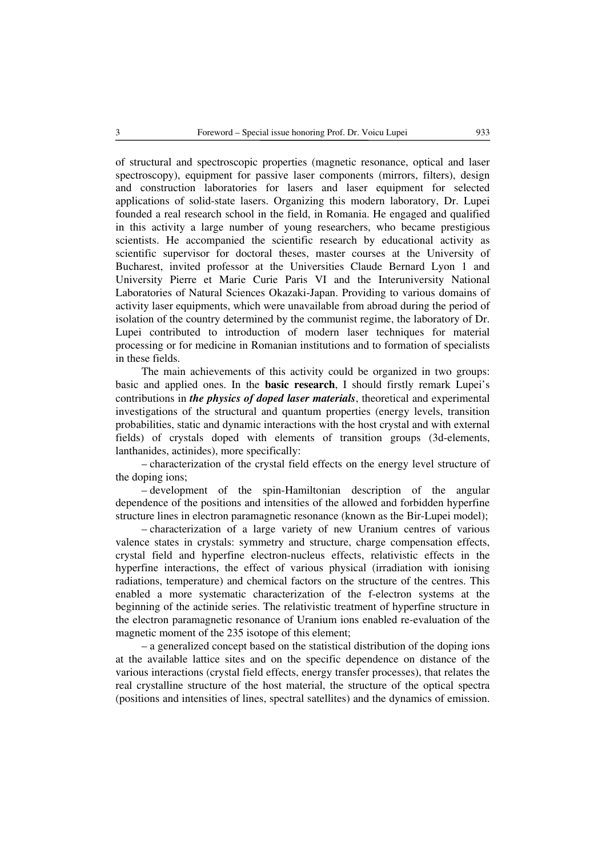of structural and spectroscopic properties (magnetic resonance, optical and laser spectroscopy), equipment for passive laser components (mirrors, filters), design and construction laboratories for lasers and laser equipment for selected applications of solid-state lasers. Organizing this modern laboratory, Dr. Lupei founded a real research school in the field, in Romania. He engaged and qualified in this activity a large number of young researchers, who became prestigious scientists. He accompanied the scientific research by educational activity as scientific supervisor for doctoral theses, master courses at the University of Bucharest, invited professor at the Universities Claude Bernard Lyon 1 and University Pierre et Marie Curie Paris VI and the Interuniversity National Laboratories of Natural Sciences Okazaki-Japan. Providing to various domains of activity laser equipments, which were unavailable from abroad during the period of isolation of the country determined by the communist regime, the laboratory of Dr. Lupei contributed to introduction of modern laser techniques for material processing or for medicine in Romanian institutions and to formation of specialists in these fields.

The main achievements of this activity could be organized in two groups: basic and applied ones. In the **basic research**, I should firstly remark Lupei's contributions in *the physics of doped laser materials*, theoretical and experimental investigations of the structural and quantum properties (energy levels, transition probabilities, static and dynamic interactions with the host crystal and with external fields) of crystals doped with elements of transition groups (3d-elements, lanthanides, actinides), more specifically:

– characterization of the crystal field effects on the energy level structure of the doping ions;

– development of the spin-Hamiltonian description of the angular dependence of the positions and intensities of the allowed and forbidden hyperfine structure lines in electron paramagnetic resonance (known as the Bir-Lupei model);

– characterization of a large variety of new Uranium centres of various valence states in crystals: symmetry and structure, charge compensation effects, crystal field and hyperfine electron-nucleus effects, relativistic effects in the hyperfine interactions, the effect of various physical (irradiation with ionising radiations, temperature) and chemical factors on the structure of the centres. This enabled a more systematic characterization of the f-electron systems at the beginning of the actinide series. The relativistic treatment of hyperfine structure in the electron paramagnetic resonance of Uranium ions enabled re-evaluation of the magnetic moment of the 235 isotope of this element;

– a generalized concept based on the statistical distribution of the doping ions at the available lattice sites and on the specific dependence on distance of the various interactions (crystal field effects, energy transfer processes), that relates the real crystalline structure of the host material, the structure of the optical spectra (positions and intensities of lines, spectral satellites) and the dynamics of emission.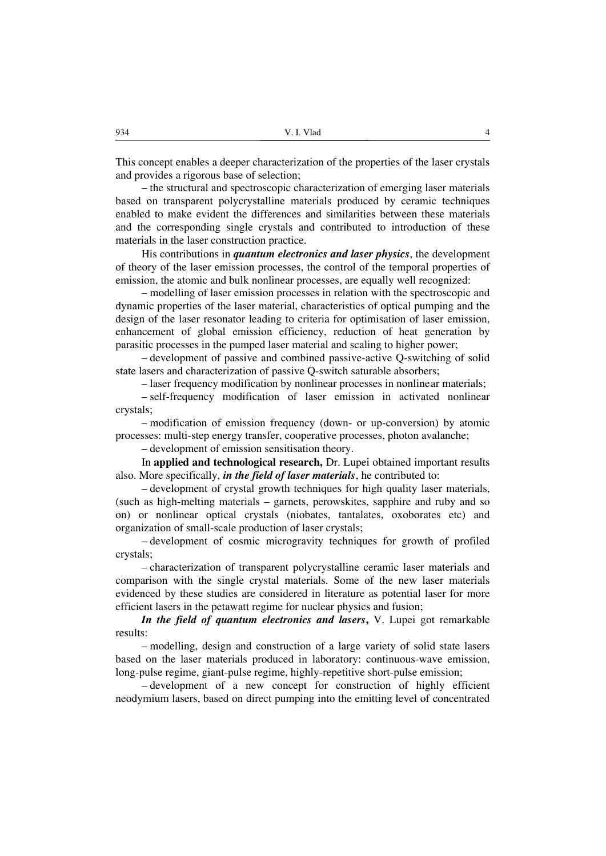This concept enables a deeper characterization of the properties of the laser crystals and provides a rigorous base of selection;

– the structural and spectroscopic characterization of emerging laser materials based on transparent polycrystalline materials produced by ceramic techniques enabled to make evident the differences and similarities between these materials and the corresponding single crystals and contributed to introduction of these materials in the laser construction practice.

His contributions in *quantum electronics and laser physics*, the development of theory of the laser emission processes, the control of the temporal properties of emission, the atomic and bulk nonlinear processes, are equally well recognized:

– modelling of laser emission processes in relation with the spectroscopic and dynamic properties of the laser material, characteristics of optical pumping and the design of the laser resonator leading to criteria for optimisation of laser emission, enhancement of global emission efficiency, reduction of heat generation by parasitic processes in the pumped laser material and scaling to higher power;

– development of passive and combined passive-active Q-switching of solid state lasers and characterization of passive Q-switch saturable absorbers;

– laser frequency modification by nonlinear processes in nonlinear materials;

– self-frequency modification of laser emission in activated nonlinear crystals;

– modification of emission frequency (down- or up-conversion) by atomic processes: multi-step energy transfer, cooperative processes, photon avalanche;

– development of emission sensitisation theory.

In **applied and technological research,** Dr. Lupei obtained important results also. More specifically, *in the field of laser materials*, he contributed to:

– development of crystal growth techniques for high quality laser materials, (such as high-melting materials – garnets, perowskites, sapphire and ruby and so on) or nonlinear optical crystals (niobates, tantalates, oxoborates etc) and organization of small-scale production of laser crystals;

– development of cosmic microgravity techniques for growth of profiled crystals;

– characterization of transparent polycrystalline ceramic laser materials and comparison with the single crystal materials. Some of the new laser materials evidenced by these studies are considered in literature as potential laser for more efficient lasers in the petawatt regime for nuclear physics and fusion;

*In the field of quantum electronics and lasers***,** V. Lupei got remarkable results:

– modelling, design and construction of a large variety of solid state lasers based on the laser materials produced in laboratory: continuous-wave emission, long-pulse regime, giant-pulse regime, highly-repetitive short-pulse emission;

– development of a new concept for construction of highly efficient neodymium lasers, based on direct pumping into the emitting level of concentrated